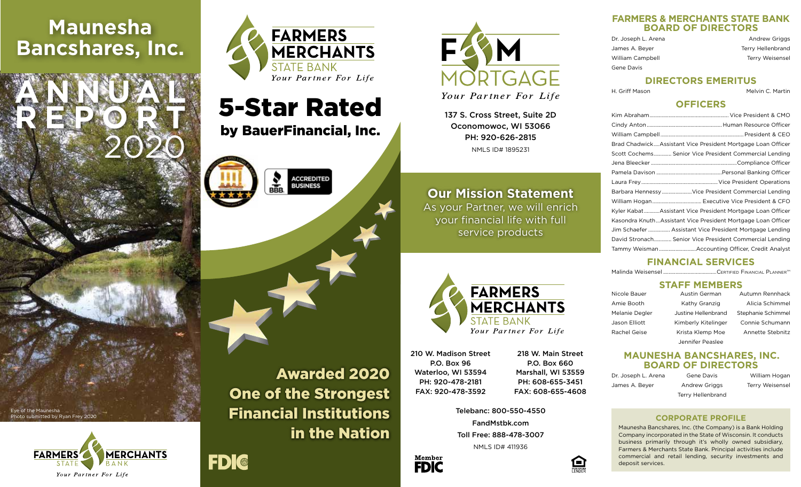# **Maunesha Bancshares, Inc.**

**ANNUAL**

**REPORT**

Eye of the Maunesha

oto submitted by Ryan Frey 2020

**FARMERS** 

2020

**MERCHANTS** 

BANK

Your Partner For Life



# 5-Star Rated

by BauerFinancial, Inc.











137 S. Cross Street, Suite 2D Oconomowoc, WI 53066 PH: 920-626-2815 NMLS ID# 1895231

## **Our Mission Statement**

As your Partner, we will enrich your financial life with full service products



210 W. Madison Street P.O. Box 96 Waterloo, WI 53594 PH: 920-478-2181 FAX: 920-478-3592

> Telebanc: 800-550-4550 FandMstbk.com Toll Free: 888-478-3007



218 W. Main Street P.O. Box 660 Marshall, WI 53559 PH: 608-655-3451 FAX: 608-655-4608

NMLS ID# 411936

 $\left(\blacksquare\right)$ 

#### **FARMERS & MERCHANTS STATE BANK BOARD OF DIRECTORS**

| Dr. Joseph L. Arena | <b>Andrew Griggs</b> |
|---------------------|----------------------|
| James A. Beyer      | Terry Hellenbrand    |
| William Campbell    | Terry Weisensel      |
| Gene Davis          |                      |

#### **DIRECTORS EMERITUS**

H. Griff Mason **Melvin C. Martin** 

#### **OFFICERS**

| Brad ChadwickAssistant Vice President Mortgage Loan Officer  |
|--------------------------------------------------------------|
| Scott Cochems Senior Vice President Commercial Lending       |
|                                                              |
|                                                              |
|                                                              |
| Barbara HennessyVice President Commercial Lending            |
|                                                              |
| Kyler Kabat Assistant Vice President Mortgage Loan Officer   |
| Kasondra KnuthAssistant Vice President Mortgage Loan Officer |
| Jim Schaefer  Assistant Vice President Mortgage Lending      |
| David Stronach Senior Vice President Commercial Lending      |
| Tammy Weisman Accounting Officer, Credit Analyst             |

### **FINANCIAL SERVICES**

Malinda Weisensel .......................................Certified Financial PlannerTM

#### **STAFF MEMBERS**

| Nicole Bauer   | Austin German       | Autumn Rennhack    |
|----------------|---------------------|--------------------|
| Amie Booth     | Kathy Granzig       | Alicia Schimmel    |
| Melanie Degler | Justine Hellenbrand | Stephanie Schimmel |
| Jason Elliott  | Kimberly Kitelinger | Connie Schumann    |
| Rachel Geise   | Krista Klemp Moe    | Annette Stebnitz   |
|                | Jennifer Peaslee    |                    |

#### **MAUNESHA BANCSHARES, INC. BOARD OF DIRECTORS**

| Dr. Joseph L. Arena | Gene Davis        | William Hogan          |
|---------------------|-------------------|------------------------|
| James A. Bever      | Andrew Griggs     | <b>Terry Weisensel</b> |
|                     | Terry Hellenbrand |                        |

#### **CORPORATE PROFILE**

Maunesha Bancshares, Inc. (the Company) is a Bank Holding Company incorporated in the State of Wisconsin. It conducts business primarily through it's wholly owned subsidiary, Farmers & Merchants State Bank. Principal activities include commercial and retail lending, security investments and deposit services.